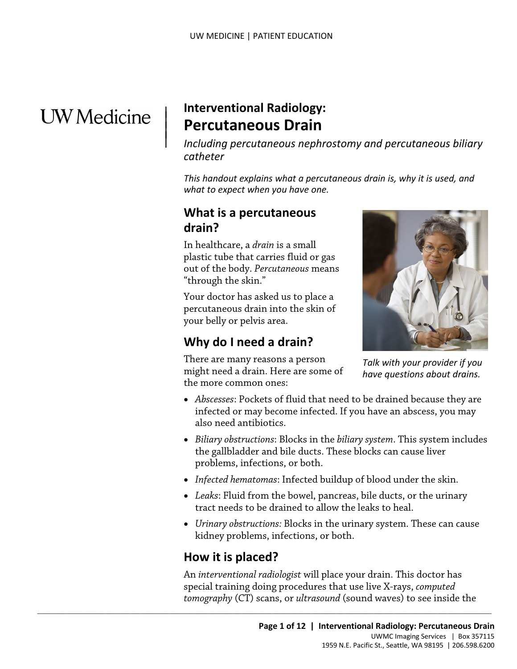# **UW** Medicine

# | **Interventional Radiology: Percutaneous Drain** | |

| *Including percutaneous nephrostomy and percutaneous biliary catheter* 

 *This handout explains what a percutaneous drain is, why it is used, and what to expect when you have one.* 

## **What is a percutaneous drain?**

 In healthcare, a *drain* is a small plastic tube that carries fluid or gas out of the body. *Percutaneous* means

"through the skin." Your doctor has asked us to place a percutaneous drain into the skin of your belly or pelvis area.

# **Why do I need a drain?**

There are many reasons a person might need a drain. Here are some of the more common ones:



*Talk with your provider if you have questions about drains.* 

- • *Abscesses*: Pockets of fluid that need to be drained because they are infected or may become infected. If you have an abscess, you may also need antibiotics.
- the gallbladder and bile ducts. These blocks can cause liver • *Biliary obstructions*: Blocks in the *biliary system*. This system includes problems, infections, or both.
- *Infected hematomas*: Infected buildup of blood under the skin.
- tract needs to be drained to allow the leaks to heal. • *Leaks*: Fluid from the bowel, pancreas, bile ducts, or the urinary
- kidney problems, infections, or both. • *Urinary obstructions:* Blocks in the urinary system. These can cause

## **How it is placed?**

 $\_$  ,  $\_$  ,  $\_$  ,  $\_$  ,  $\_$  ,  $\_$  ,  $\_$  ,  $\_$  ,  $\_$  ,  $\_$  ,  $\_$  ,  $\_$  ,  $\_$  ,  $\_$  ,  $\_$  ,  $\_$  ,  $\_$  ,  $\_$  ,  $\_$  ,  $\_$  ,  $\_$  ,  $\_$  ,  $\_$  ,  $\_$  ,  $\_$  ,  $\_$  ,  $\_$  ,  $\_$  ,  $\_$  ,  $\_$  ,  $\_$  ,  $\_$  ,  $\_$  ,  $\_$  ,  $\_$  ,  $\_$  ,  $\_$  ,

 special training doing procedures that use live X-rays, *computed tomography* (CT) scans, or *ultrasound* (sound waves) to see inside the An *interventional radiologist* will place your drain. This doctor has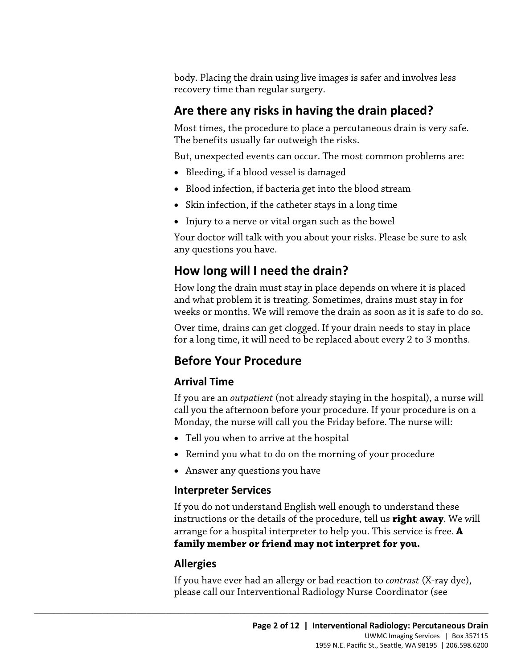body. Placing the drain using live images is safer and involves less recovery time than regular surgery.

# **Are there any risks in having the drain placed?**

Most times, the procedure to place a percutaneous drain is very safe. The benefits usually far outweigh the risks.

But, unexpected events can occur. The most common problems are:

- Bleeding, if a blood vessel is damaged
- Blood infection, if bacteria get into the blood stream
- Skin infection, if the catheter stays in a long time
- Injury to a nerve or vital organ such as the bowel

Your doctor will talk with you about your risks. Please be sure to ask any questions you have.

# **How long will I need the drain?**

How long will I need the drain?<br>How long will I need the drain?<br>How long the drain must stay in place depends on where it is placed<br>and what problem it is treating. Sometimes, drains must stay in for<br>weeks or months. We wi How long the drain must stay in place depends on where it is placed and what problem it is treating. Sometimes, drains must stay in for weeks or months. We will remove the drain as soon as it is safe to do so.

Over time, drains can get clogged. If your drain needs to stay in place for a long time, it will need to be replaced about every 2 to 3 months.

# **Before Your Procedure**

### **Arrival Time**

If you are an *outpatient* (not already staying in the hospital), a nurse will call you the afternoon before your procedure. If your procedure is on a Monday, the nurse will call you the Friday before. The nurse will:

• Tell you when to arrive at the hospital

 $\_$  ,  $\_$  ,  $\_$  ,  $\_$  ,  $\_$  ,  $\_$  ,  $\_$  ,  $\_$  ,  $\_$  ,  $\_$  ,  $\_$  ,  $\_$  ,  $\_$  ,  $\_$  ,  $\_$  ,  $\_$  ,  $\_$  ,  $\_$  ,  $\_$  ,  $\_$  ,  $\_$  ,  $\_$  ,  $\_$  ,  $\_$  ,  $\_$  ,  $\_$  ,  $\_$  ,  $\_$  ,  $\_$  ,  $\_$  ,  $\_$  ,  $\_$  ,  $\_$  ,  $\_$  ,  $\_$  ,  $\_$  ,  $\_$  ,

- Remind you what to do on the morning of your procedure
- Answer any questions you have

#### **Interpreter Services**

 instructions or the details of the procedure, tell us **right away**. We will If you do not understand English well enough to understand these arrange for a hospital interpreter to help you. This service is free. **A family member or friend may not interpret for you.** 

### **Allergies**

If you have ever had an allergy or bad reaction to *contrast* (X-ray dye), please call our Interventional Radiology Nurse Coordinator (see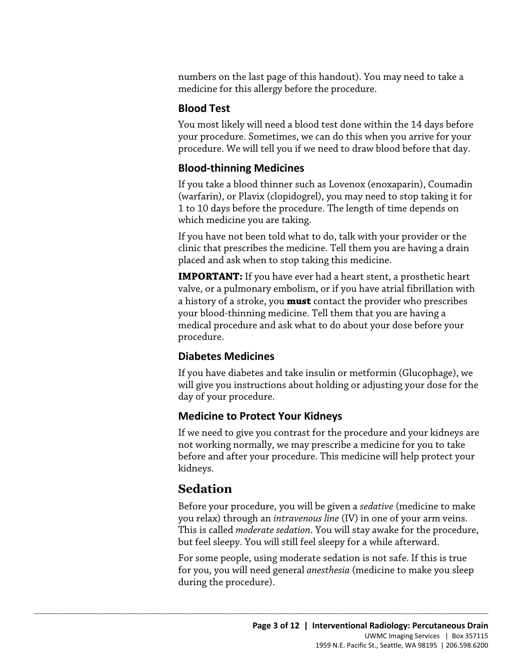numbers on the last page of this handout). You may need to take a medicine for this allergy before the procedure.

### **Blood Test**

You most likely will need a blood test done within the 14 days before your procedure. Sometimes, we can do this when you arrive for your procedure. We will tell you if we need to draw blood before that day.

### **Blood-thinning Medicines**

If you take a blood thinner such as Lovenox (enoxaparin), Coumadin (warfarin), or Plavix (clopidogrel), you may need to stop taking it for 1 to 10 days before the procedure. The length of time depends on which medicine you are taking.

If you have not been told what to do, talk with your provider or the clinic that prescribes the medicine. Tell them you are having a drain placed and ask when to stop taking this medicine.

clinic that prescribes the medicine. Tell them you are having a drain placed and ask when to stop taking this medicine.<br> **IMPORTANT:** If you have ever had a heart stent, a prosthetic heart valve, or a pulmonary embolism, o **IMPORTANT:** If you have ever had a heart stent, a prosthetic heart valve, or a pulmonary embolism, or if you have atrial fibrillation with a history of a stroke, you **must** contact the provider who prescribes your blood-thinning medicine. Tell them that you are having a medical procedure and ask what to do about your dose before your procedure.

## **Diabetes Medicines**

If you have diabetes and take insulin or metformin (Glucophage), we will give you instructions about holding or adjusting your dose for the day of your procedure.

### **Medicine to Protect Your Kidneys**

 $\_$  ,  $\_$  ,  $\_$  ,  $\_$  ,  $\_$  ,  $\_$  ,  $\_$  ,  $\_$  ,  $\_$  ,  $\_$  ,  $\_$  ,  $\_$  ,  $\_$  ,  $\_$  ,  $\_$  ,  $\_$  ,  $\_$  ,  $\_$  ,  $\_$  ,  $\_$  ,  $\_$  ,  $\_$  ,  $\_$  ,  $\_$  ,  $\_$  ,  $\_$  ,  $\_$  ,  $\_$  ,  $\_$  ,  $\_$  ,  $\_$  ,  $\_$  ,  $\_$  ,  $\_$  ,  $\_$  ,  $\_$  ,  $\_$  ,

If we need to give you contrast for the procedure and your kidneys are not working normally, we may prescribe a medicine for you to take before and after your procedure. This medicine will help protect your kidneys.

# **Sedation**

Before your procedure, you will be given a *sedative* (medicine to make you relax) through an *intravenous line* (IV) in one of your arm veins. This is called *moderate sedation*. You will stay awake for the procedure, but feel sleepy. You will still feel sleepy for a while afterward.

For some people, using moderate sedation is not safe. If this is true for you, you will need general *anesthesia* (medicine to make you sleep during the procedure).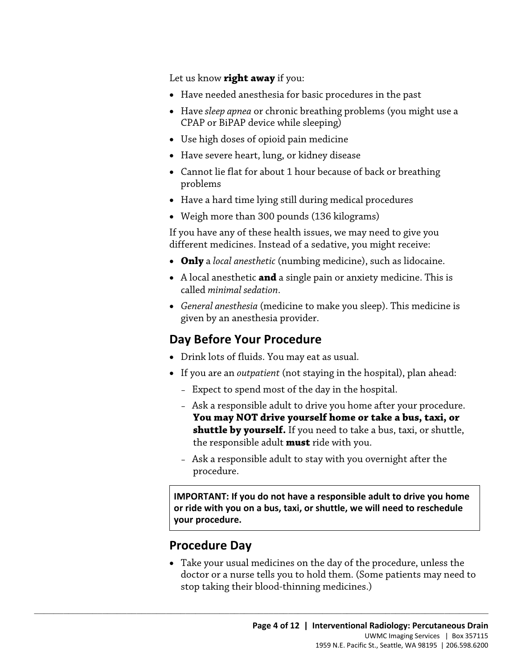Let us know **right away** if you:

- Have needed anesthesia for basic procedures in the past
- Have *sleep apnea* or chronic breathing problems (you might use a CPAP or BiPAP device while sleeping)
- Use high doses of opioid pain medicine
- Have severe heart, lung, or kidney disease
- Cannot lie flat for about 1 hour because of back or breathing problems
- Have a hard time lying still during medical procedures
- Weigh more than 300 pounds (136 kilograms)

If you have any of these health issues, we may need to give you different medicines. Instead of a sedative, you might receive:

- **Only** a *local anesthetic* (numbing medicine), such as lidocaine.
- A local anesthetic **and** a single pain or anxiety medicine. This is called *minimal sedation*.
- different medicines. Instead of a sedative, you might receive:<br>
 Only a *local anesthetic* (numbing medicine), such as lidocaine.<br>
 A local anesthetic **and** a single pain or anxiety medicine. This is<br>
called *minimal sed* • *General anesthesia* (medicine to make you sleep). This medicine is given by an anesthesia provider.

# **Day Before Your Procedure**

• Drink lots of fluids. You may eat as usual.

 $\_$  ,  $\_$  ,  $\_$  ,  $\_$  ,  $\_$  ,  $\_$  ,  $\_$  ,  $\_$  ,  $\_$  ,  $\_$  ,  $\_$  ,  $\_$  ,  $\_$  ,  $\_$  ,  $\_$  ,  $\_$  ,  $\_$  ,  $\_$  ,  $\_$  ,  $\_$  ,  $\_$  ,  $\_$  ,  $\_$  ,  $\_$  ,  $\_$  ,  $\_$  ,  $\_$  ,  $\_$  ,  $\_$  ,  $\_$  ,  $\_$  ,  $\_$  ,  $\_$  ,  $\_$  ,  $\_$  ,  $\_$  ,  $\_$  ,

- If you are an *outpatient* (not staying in the hospital), plan ahead:
	- Expect to spend most of the day in the hospital.
	- Ask a responsible adult to drive you home after your procedure. **You may NOT drive yourself home or take a bus, taxi, or shuttle by yourself.** If you need to take a bus, taxi, or shuttle, the responsible adult **must** ride with you.
	- – Ask a responsible adult to stay with you overnight after the procedure.

 **or ride with you on a bus, taxi, or shuttle, we will need to reschedule IMPORTANT: If you do not have a responsible adult to drive you home your procedure.** 

## **Procedure Day**

 doctor or a nurse tells you to hold them. (Some patients may need to • Take your usual medicines on the day of the procedure, unless the stop taking their blood-thinning medicines.)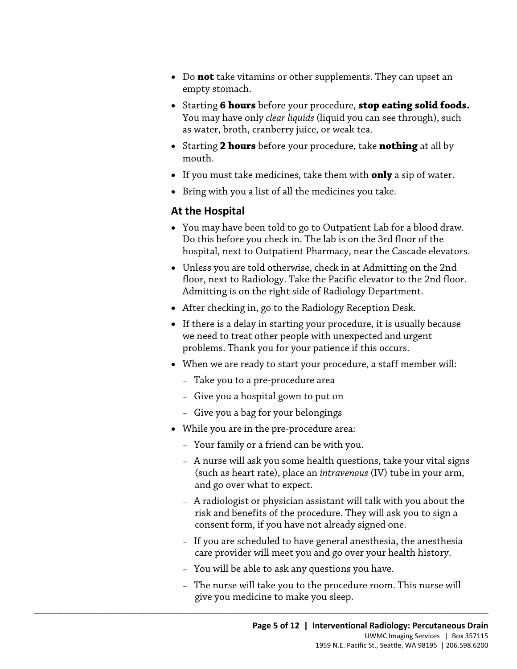- • Do **not** take vitamins or other supplements. They can upset an empty stomach.
- Starting **6 hours** before your procedure, **stop eating solid foods.**  You may have only *clear liquids* (liquid you can see through), such as water, broth, cranberry juice, or weak tea.
- Starting **2 hours** before your procedure, take **nothing** at all by mouth.
- If you must take medicines, take them with **only** a sip of water.
- Bring with you a list of all the medicines you take.

#### **At the Hospital**

- You may have been told to go to Outpatient Lab for a blood draw. Do this before you check in. The lab is on the 3rd floor of the hospital, next to Outpatient Pharmacy, near the Cascade elevators.
- Do this before you theta in: The fab is on the Studio of the hospital, next to Outpatient Pharmacy, near the Cascade elevator<br>
 Unless you are told otherwise, check in at Admitting on the 2nd<br>
floor, next to Radiology. Ta • Unless you are told otherwise, check in at Admitting on the 2nd floor, next to Radiology. Take the Pacific elevator to the 2nd floor. Admitting is on the right side of Radiology Department.
	- After checking in, go to the Radiology Reception Desk.
	- If there is a delay in starting your procedure, it is usually because we need to treat other people with unexpected and urgent problems. Thank you for your patience if this occurs.
	- When we are ready to start your procedure, a staff member will:
		- Take you to a pre-procedure area
		- Give you a hospital gown to put on
		- Give you a bag for your belongings
	- While you are in the pre-procedure area:
		- Your family or a friend can be with you.
		- A nurse will ask you some health questions, take your vital signs (such as heart rate), place an *intravenous* (IV) tube in your arm, and go over what to expect.
		- A radiologist or physician assistant will talk with you about the risk and benefits of the procedure. They will ask you to sign a consent form, if you have not already signed one.
		- If you are scheduled to have general anesthesia, the anesthesia care provider will meet you and go over your health history.
		- You will be able to ask any questions you have.

 $\_$  ,  $\_$  ,  $\_$  ,  $\_$  ,  $\_$  ,  $\_$  ,  $\_$  ,  $\_$  ,  $\_$  ,  $\_$  ,  $\_$  ,  $\_$  ,  $\_$  ,  $\_$  ,  $\_$  ,  $\_$  ,  $\_$  ,  $\_$  ,  $\_$  ,  $\_$  ,  $\_$  ,  $\_$  ,  $\_$  ,  $\_$  ,  $\_$  ,  $\_$  ,  $\_$  ,  $\_$  ,  $\_$  ,  $\_$  ,  $\_$  ,  $\_$  ,  $\_$  ,  $\_$  ,  $\_$  ,  $\_$  ,  $\_$  ,

– The nurse will take you to the procedure room. This nurse will give you medicine to make you sleep.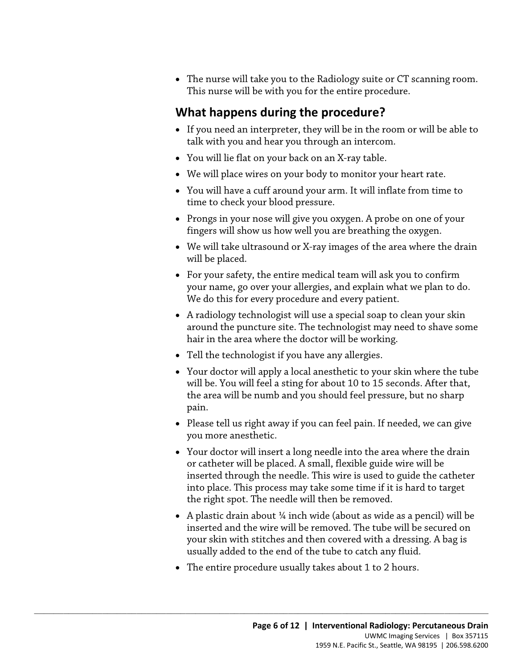• The nurse will take you to the Radiology suite or CT scanning room. This nurse will be with you for the entire procedure.

# **What happens during the procedure?**

- If you need an interpreter, they will be in the room or will be able to talk with you and hear you through an intercom.
- You will lie flat on your back on an X-ray table.
- We will place wires on your body to monitor your heart rate.
- • You will have a cuff around your arm. It will inflate from time to time to check your blood pressure.
- Prongs in your nose will give you oxygen. A probe on one of your fingers will show us how well you are breathing the oxygen.
- • We will take ultrasound or X-ray images of the area where the drain will be placed.
- We will take ultrasound or X-ray images of the area where the dr<br>will be placed.<br>• For your safety, the entire medical team will ask you to confirm<br>your name, go over your allergies, and explain what we plan to d<br>We do t • For your safety, the entire medical team will ask you to confirm your name, go over your allergies, and explain what we plan to do. We do this for every procedure and every patient.
	- A radiology technologist will use a special soap to clean your skin around the puncture site. The technologist may need to shave some hair in the area where the doctor will be working.
	- Tell the technologist if you have any allergies.
	- Your doctor will apply a local anesthetic to your skin where the tube will be. You will feel a sting for about 10 to 15 seconds. After that, the area will be numb and you should feel pressure, but no sharp pain.
	- Please tell us right away if you can feel pain. If needed, we can give you more anesthetic.
	- the right spot. The needle will then be removed. • Your doctor will insert a long needle into the area where the drain or catheter will be placed. A small, flexible guide wire will be inserted through the needle. This wire is used to guide the catheter into place. This process may take some time if it is hard to target
	- A plastic drain about  $\frac{1}{4}$  inch wide (about as wide as a pencil) will be inserted and the wire will be removed. The tube will be secured on your skin with stitches and then covered with a dressing. A bag is usually added to the end of the tube to catch any fluid.
	- The entire procedure usually takes about 1 to 2 hours.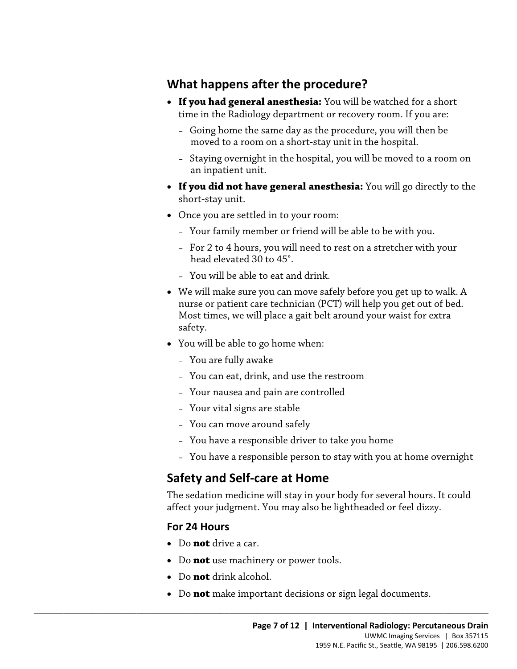# **What happens after the procedure?**

- time in the Radiology department or recovery room. If you are: • **If you had general anesthesia:** You will be watched for a short
	- moved to a room on a short-stay unit in the hospital. – Going home the same day as the procedure, you will then be
	- Staying overnight in the hospital, you will be moved to a room on an inpatient unit.
- **If you did not have general anesthesia:** You will go directly to the short-stay unit.
- Once you are settled in to your room:
	- Your family member or friend will be able to be with you.
	- For 2 to 4 hours, you will need to rest on a stretcher with your head elevated 30 to 45°.
	- You will be able to eat and drink.
- • We will make sure you can move safely before you get up to walk. A - For 2 to 4 hours, you will need to rest on a stretcher with your<br>head elevated 30 to 45°.<br>- You will be able to eat and drink.<br>• We will make sure you can move safely before you get up to walk.<br>*A* nurse or patient care nurse or patient care technician (PCT) will help you get out of bed. Most times, we will place a gait belt around your waist for extra safety.
	- You will be able to go home when:
		- You are fully awake
		- You can eat, drink, and use the restroom
		- Your nausea and pain are controlled
		- Your vital signs are stable
		- You can move around safely
		- You have a responsible driver to take you home
		- You have a responsible person to stay with you at home overnight

# **Safety and Self-care at Home**

The sedation medicine will stay in your body for several hours. It could affect your judgment. You may also be lightheaded or feel dizzy.

### **For 24 Hours**

- Do **not** drive a car.
- Do **not** use machinery or power tools.

- Do **not** drink alcohol.
- Do **not** make important decisions or sign legal documents.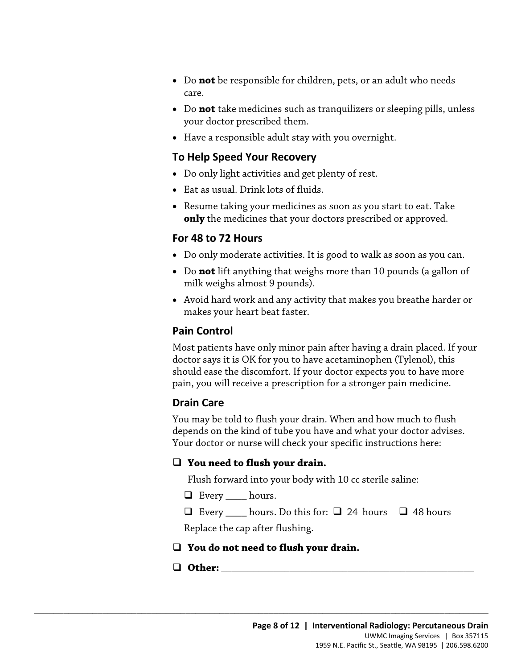- Do **not** be responsible for children, pets, or an adult who needs care.
- Do **not** take medicines such as tranquilizers or sleeping pills, unless your doctor prescribed them.
- Have a responsible adult stay with you overnight.

#### **To Help Speed Your Recovery**

- Do only light activities and get plenty of rest.
- Eat as usual. Drink lots of fluids.
- Resume taking your medicines as soon as you start to eat. Take **only** the medicines that your doctors prescribed or approved.

#### **For 48 to 72 Hours**

- Do only moderate activities. It is good to walk as soon as you can.
- Do only moderate activities. It is good to walk as soon as you can<br>• Do **not** lift anything that weighs more than 10 pounds (a gallon c<br>milk weighs almost 9 pounds).<br>• Avoid hard work and any activity that makes you brea • Do **not** lift anything that weighs more than 10 pounds (a gallon of milk weighs almost 9 pounds).
	- Avoid hard work and any activity that makes you breathe harder or makes your heart beat faster.

#### **Pain Control**

Most patients have only minor pain after having a drain placed. If your doctor says it is OK for you to have acetaminophen (Tylenol), this should ease the discomfort. If your doctor expects you to have more pain, you will receive a prescription for a stronger pain medicine.

#### **Drain Care**

 Your doctor or nurse will check your specific instructions here: You may be told to flush your drain. When and how much to flush depends on the kind of tube you have and what your doctor advises.

#### **You need to flush your drain.**

Flush forward into your body with 10 cc sterile saline:

Every \_\_\_\_ hours.

 $\Box$  Every \_\_\_\_\_ hours. Do this for:  $\Box$  24 hours  $\Box$  48 hours

Replace the cap after flushing.

#### **You do not need to flush your drain.**

 $\_$  ,  $\_$  ,  $\_$  ,  $\_$  ,  $\_$  ,  $\_$  ,  $\_$  ,  $\_$  ,  $\_$  ,  $\_$  ,  $\_$  ,  $\_$  ,  $\_$  ,  $\_$  ,  $\_$  ,  $\_$  ,  $\_$  ,  $\_$  ,  $\_$  ,  $\_$  ,  $\_$  ,  $\_$  ,  $\_$  ,  $\_$  ,  $\_$  ,  $\_$  ,  $\_$  ,  $\_$  ,  $\_$  ,  $\_$  ,  $\_$  ,  $\_$  ,  $\_$  ,  $\_$  ,  $\_$  ,  $\_$  ,  $\_$  ,

#### $\Box$  Other: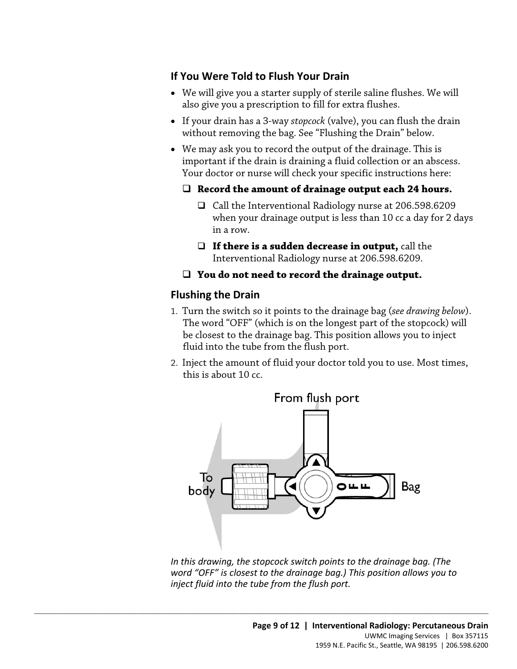#### **If You Were Told to Flush Your Drain**

- also give you a prescription to fill for extra flushes. • We will give you a starter supply of sterile saline flushes. We will
- If your drain has a 3-way *stopcock* (valve), you can flush the drain without removing the bag. See "Flushing the Drain" below.
- We may ask you to record the output of the drainage. This is important if the drain is draining a fluid collection or an abscess. Your doctor or nurse will check your specific instructions here:

#### **Record the amount of drainage output each 24 hours.**

- □ Call the Interventional Radiology nurse at 206.598.6209 when your drainage output is less than 10 cc a day for 2 days in a row.
- **If there is a sudden decrease in output,** call the Interventional Radiology nurse at 206.598.6209.

#### **You do not need to record the drainage output.**

#### **Flushing the Drain**

- □ **If there is a sudden decrease in output,** call the<br>Interventional Radiology nurse at 206.598.6209.<br>□ **You do not need to record the drainage output.**<br>Flushing the Drain<br>1. Turn the switch so it points to the drainage b 1. Turn the switch so it points to the drainage bag (*see drawing below*). The word "OFF" (which is on the longest part of the stopcock) will be closest to the drainage bag. This position allows you to inject fluid into the tube from the flush port.
	- 2. Inject the amount of fluid your doctor told you to use. Most times, this is about 10 cc.



*In this drawing, the stopcock switch points to the drainage bag. (The word "OFF" is closest to the drainage bag.) This position allows you to inject fluid into the tube from the flush port.*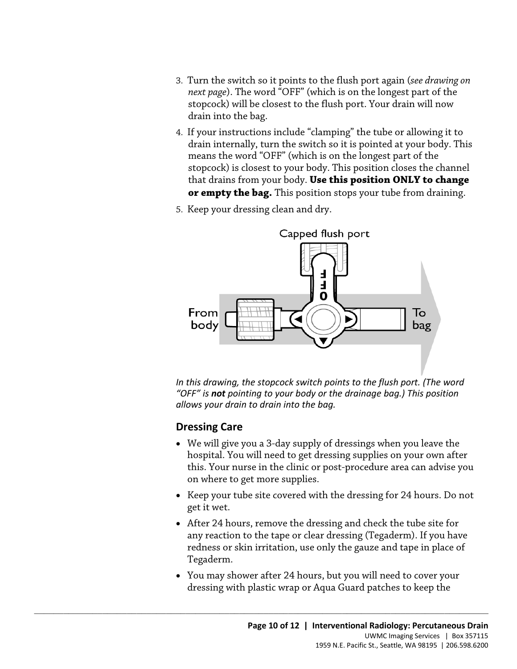- 3. Turn the switch so it points to the flush port again (*see drawing on next page*). The word "OFF" (which is on the longest part of the stopcock) will be closest to the flush port. Your drain will now drain into the bag.
- 4. If your instructions include "clamping" the tube or allowing it to drain internally, turn the switch so it is pointed at your body. This means the word "OFF" (which is on the longest part of the stopcock) is closest to your body. This position closes the channel that drains from your body. **Use this position ONLY to change or empty the bag.** This position stops your tube from draining.
- 5. Keep your dressing clean and dry.



*In this drawing, the stopcock switch points to the flush port. (The word "OFF" is not pointing to your body or the drainage bag.) This position allows your drain to drain into the bag.* 

#### **Dressing Care**

- • We will give you a 3-day supply of dressings when you leave the this. Your nurse in the clinic or post-procedure area can advise you hospital. You will need to get dressing supplies on your own after on where to get more supplies.
- Keep your tube site covered with the dressing for 24 hours. Do not get it wet.
- After 24 hours, remove the dressing and check the tube site for any reaction to the tape or clear dressing (Tegaderm). If you have redness or skin irritation, use only the gauze and tape in place of Tegaderm.
- You may shower after 24 hours, but you will need to cover your dressing with plastic wrap or Aqua Guard patches to keep the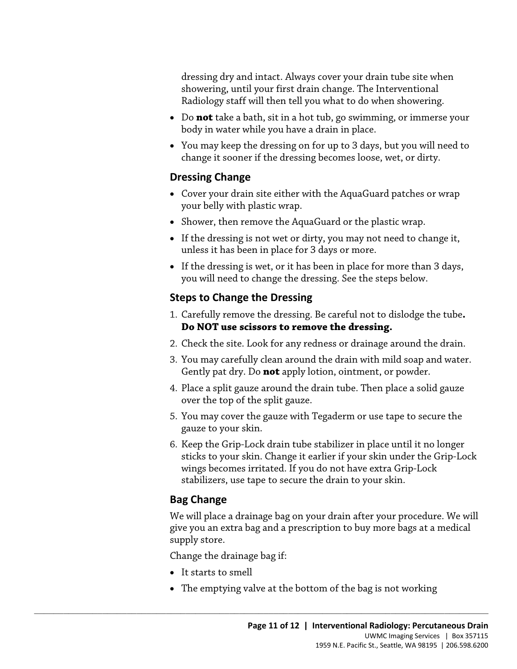dressing dry and intact. Always cover your drain tube site when showering, until your first drain change. The Interventional Radiology staff will then tell you what to do when showering.

- • Do **not** take a bath, sit in a hot tub, go swimming, or immerse your body in water while you have a drain in place.
- change it sooner if the dressing becomes loose, wet, or dirty. • You may keep the dressing on for up to 3 days, but you will need to

#### **Dressing Change**

- Cover your drain site either with the AquaGuard patches or wrap your belly with plastic wrap.
- Shower, then remove the AquaGuard or the plastic wrap.
- If the dressing is not wet or dirty, you may not need to change it, unless it has been in place for 3 days or more.
- • If the dressing is wet, or it has been in place for more than 3 days, you will need to change the dressing. See the steps below.

#### **Steps to Change the Dressing**

- If the dressing is not wet of diry, you may not need to enting it,<br>unless it has been in place for 3 days or more.<br>• If the dressing is wet, or it has been in place for more than 3 days,<br>you will need to change the dressin 1. Carefully remove the dressing. Be careful not to dislodge the tube**. Do NOT use scissors to remove the dressing.** 
	- 2. Check the site. Look for any redness or drainage around the drain.
	- 3. You may carefully clean around the drain with mild soap and water. Gently pat dry. Do **not** apply lotion, ointment, or powder.
	- 4. Place a split gauze around the drain tube. Then place a solid gauze over the top of the split gauze.
	- 5. You may cover the gauze with Tegaderm or use tape to secure the gauze to your skin.
	- 6. Keep the Grip-Lock drain tube stabilizer in place until it no longer sticks to your skin. Change it earlier if your skin under the Grip-Lock wings becomes irritated. If you do not have extra Grip-Lock stabilizers, use tape to secure the drain to your skin.

### **Bag Change**

We will place a drainage bag on your drain after your procedure. We will give you an extra bag and a prescription to buy more bags at a medical supply store.

Change the drainage bag if:

- It starts to smell
- The emptying valve at the bottom of the bag is not working